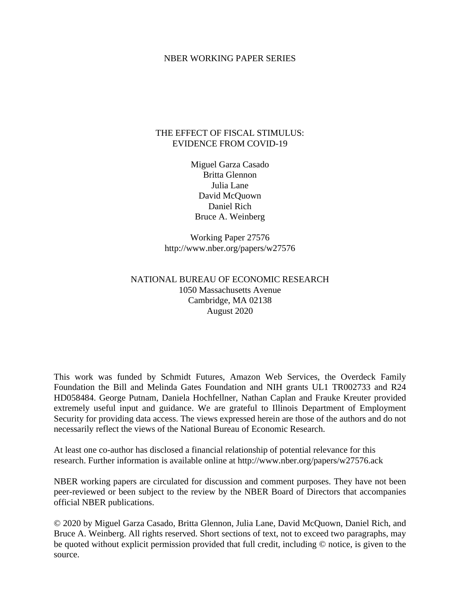### NBER WORKING PAPER SERIES

## THE EFFECT OF FISCAL STIMULUS: EVIDENCE FROM COVID-19

Miguel Garza Casado Britta Glennon Julia Lane David McQuown Daniel Rich Bruce A. Weinberg

Working Paper 27576 http://www.nber.org/papers/w27576

# NATIONAL BUREAU OF ECONOMIC RESEARCH 1050 Massachusetts Avenue Cambridge, MA 02138 August 2020

This work was funded by Schmidt Futures, Amazon Web Services, the Overdeck Family Foundation the Bill and Melinda Gates Foundation and NIH grants UL1 TR002733 and R24 HD058484. George Putnam, Daniela Hochfellner, Nathan Caplan and Frauke Kreuter provided extremely useful input and guidance. We are grateful to Illinois Department of Employment Security for providing data access. The views expressed herein are those of the authors and do not necessarily reflect the views of the National Bureau of Economic Research.

At least one co-author has disclosed a financial relationship of potential relevance for this research. Further information is available online at http://www.nber.org/papers/w27576.ack

NBER working papers are circulated for discussion and comment purposes. They have not been peer-reviewed or been subject to the review by the NBER Board of Directors that accompanies official NBER publications.

© 2020 by Miguel Garza Casado, Britta Glennon, Julia Lane, David McQuown, Daniel Rich, and Bruce A. Weinberg. All rights reserved. Short sections of text, not to exceed two paragraphs, may be quoted without explicit permission provided that full credit, including © notice, is given to the source.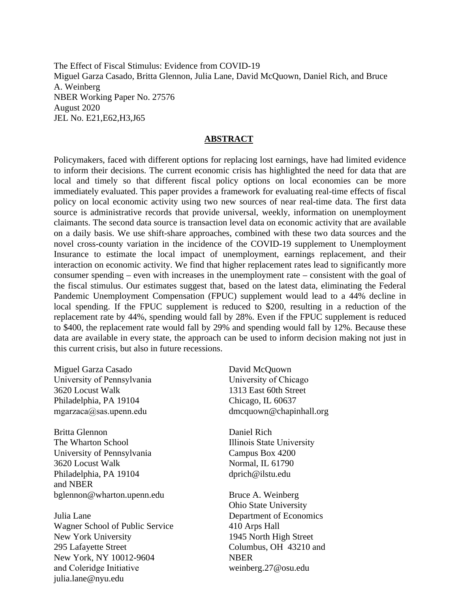The Effect of Fiscal Stimulus: Evidence from COVID-19 Miguel Garza Casado, Britta Glennon, Julia Lane, David McQuown, Daniel Rich, and Bruce A. Weinberg NBER Working Paper No. 27576 August 2020 JEL No. E21,E62,H3,J65

### **ABSTRACT**

Policymakers, faced with different options for replacing lost earnings, have had limited evidence to inform their decisions. The current economic crisis has highlighted the need for data that are local and timely so that different fiscal policy options on local economies can be more immediately evaluated. This paper provides a framework for evaluating real-time effects of fiscal policy on local economic activity using two new sources of near real-time data. The first data source is administrative records that provide universal, weekly, information on unemployment claimants. The second data source is transaction level data on economic activity that are available on a daily basis. We use shift-share approaches, combined with these two data sources and the novel cross-county variation in the incidence of the COVID-19 supplement to Unemployment Insurance to estimate the local impact of unemployment, earnings replacement, and their interaction on economic activity. We find that higher replacement rates lead to significantly more consumer spending – even with increases in the unemployment rate – consistent with the goal of the fiscal stimulus. Our estimates suggest that, based on the latest data, eliminating the Federal Pandemic Unemployment Compensation (FPUC) supplement would lead to a 44% decline in local spending. If the FPUC supplement is reduced to \$200, resulting in a reduction of the replacement rate by 44%, spending would fall by 28%. Even if the FPUC supplement is reduced to \$400, the replacement rate would fall by 29% and spending would fall by 12%. Because these data are available in every state, the approach can be used to inform decision making not just in this current crisis, but also in future recessions.

Miguel Garza Casado University of Pennsylvania 3620 Locust Walk Philadelphia, PA 19104 mgarzaca@sas.upenn.edu

Britta Glennon The Wharton School University of Pennsylvania 3620 Locust Walk Philadelphia, PA 19104 and NBER bglennon@wharton.upenn.edu

Julia Lane Wagner School of Public Service New York University 295 Lafayette Street New York, NY 10012-9604 and Coleridge Initiative julia.lane@nyu.edu

David McQuown University of Chicago 1313 East 60th Street Chicago, IL 60637 dmcquown@chapinhall.org

Daniel Rich Illinois State University Campus Box 4200 Normal, IL 61790 dprich@ilstu.edu

Bruce A. Weinberg Ohio State University Department of Economics 410 Arps Hall 1945 North High Street Columbus, OH 43210 and NBER weinberg.27@osu.edu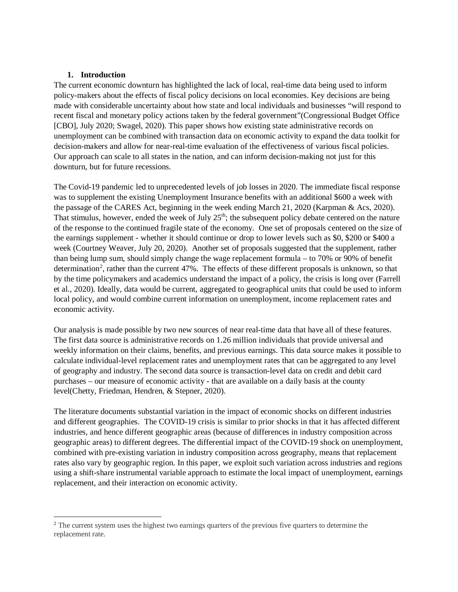### **1. Introduction**

 $\overline{\phantom{a}}$ 

The current economic downturn has highlighted the lack of local, real-time data being used to inform policy-makers about the effects of fiscal policy decisions on local economies. Key decisions are being made with considerable uncertainty about how state and local individuals and businesses "will respond to recent fiscal and monetary policy actions taken by the federal government"(Congressional Budget Office [CBO], July 2020; Swagel, 2020). This paper shows how existing state administrative records on unemployment can be combined with transaction data on economic activity to expand the data toolkit for decision-makers and allow for near-real-time evaluation of the effectiveness of various fiscal policies. Our approach can scale to all states in the nation, and can inform decision-making not just for this downturn, but for future recessions.

The Covid-19 pandemic led to unprecedented levels of job losses in 2020. The immediate fiscal response was to supplement the existing Unemployment Insurance benefits with an additional \$600 a week with the passage of the CARES Act, beginning in the week ending March 21, 2020 (Karpman & Acs, 2020). That stimulus, however, ended the week of July  $25<sup>th</sup>$ ; the subsequent policy debate centered on the nature of the response to the continued fragile state of the economy. One set of proposals centered on the size of the earnings supplement - whether it should continue or drop to lower levels such as \$0, \$200 or \$400 a week (Courtney Weaver, July 20, 2020). Another set of proposals suggested that the supplement, rather than being lump sum, should simply change the wage replacement formula – to 70% or 90% of benefit determination<sup>[2](#page-2-0)</sup>, rather than the current 47%. The effects of these different proposals is unknown, so that by the time policymakers and academics understand the impact of a policy, the crisis is long over (Farrell et al., 2020). Ideally, data would be current, aggregated to geographical units that could be used to inform local policy, and would combine current information on unemployment, income replacement rates and economic activity.

Our analysis is made possible by two new sources of near real-time data that have all of these features. The first data source is administrative records on 1.26 million individuals that provide universal and weekly information on their claims, benefits, and previous earnings. This data source makes it possible to calculate individual-level replacement rates and unemployment rates that can be aggregated to any level of geography and industry. The second data source is transaction-level data on credit and debit card purchases – our measure of economic activity - that are available on a daily basis at the county level(Chetty, Friedman, Hendren, & Stepner, 2020).

The literature documents substantial variation in the impact of economic shocks on different industries and different geographies. The COVID-19 crisis is similar to prior shocks in that it has affected different industries, and hence different geographic areas (because of differences in industry composition across geographic areas) to different degrees. The differential impact of the COVID-19 shock on unemployment, combined with pre-existing variation in industry composition across geography, means that replacement rates also vary by geographic region. In this paper, we exploit such variation across industries and regions using a shift-share instrumental variable approach to estimate the local impact of unemployment, earnings replacement, and their interaction on economic activity.

<span id="page-2-0"></span><sup>&</sup>lt;sup>2</sup> The current system uses the highest two earnings quarters of the previous five quarters to determine the replacement rate.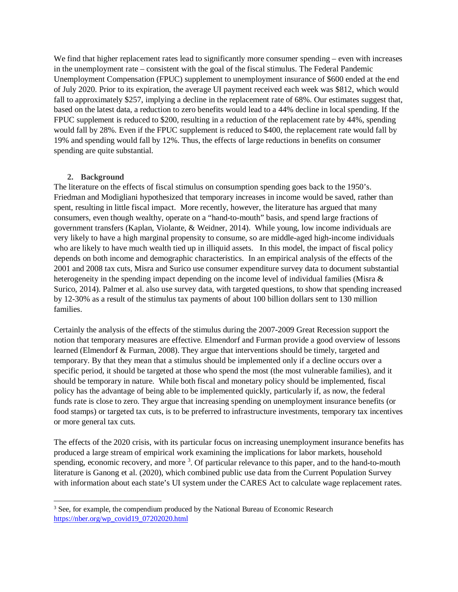We find that higher replacement rates lead to significantly more consumer spending – even with increases in the unemployment rate – consistent with the goal of the fiscal stimulus. The Federal Pandemic Unemployment Compensation (FPUC) supplement to unemployment insurance of \$600 ended at the end of July 2020. Prior to its expiration, the average UI payment received each week was \$812, which would fall to approximately \$257, implying a decline in the replacement rate of 68%. Our estimates suggest that, based on the latest data, a reduction to zero benefits would lead to a 44% decline in local spending. If the FPUC supplement is reduced to \$200, resulting in a reduction of the replacement rate by 44%, spending would fall by 28%. Even if the FPUC supplement is reduced to \$400, the replacement rate would fall by 19% and spending would fall by 12%. Thus, the effects of large reductions in benefits on consumer spending are quite substantial.

### **2. Background**

 $\overline{\phantom{a}}$ 

The literature on the effects of fiscal stimulus on consumption spending goes back to the 1950's. Friedman and Modigliani hypothesized that temporary increases in income would be saved, rather than spent, resulting in little fiscal impact. More recently, however, the literature has argued that many consumers, even though wealthy, operate on a "hand-to-mouth" basis, and spend large fractions of government transfers (Kaplan, Violante, & Weidner, 2014). While young, low income individuals are very likely to have a high marginal propensity to consume, so are middle-aged high-income individuals who are likely to have much wealth tied up in illiquid assets. In this model, the impact of fiscal policy depends on both income and demographic characteristics. In an empirical analysis of the effects of the 2001 and 2008 tax cuts, Misra and Surico use consumer expenditure survey data to document substantial heterogeneity in the spending impact depending on the income level of individual families (Misra & Surico, 2014). Palmer et al. also use survey data, with targeted questions, to show that spending increased by 12-30% as a result of the stimulus tax payments of about 100 billion dollars sent to 130 million families.

Certainly the analysis of the effects of the stimulus during the 2007-2009 Great Recession support the notion that temporary measures are effective. Elmendorf and Furman provide a good overview of lessons learned (Elmendorf & Furman, 2008). They argue that interventions should be timely, targeted and temporary. By that they mean that a stimulus should be implemented only if a decline occurs over a specific period, it should be targeted at those who spend the most (the most vulnerable families), and it should be temporary in nature. While both fiscal and monetary policy should be implemented, fiscal policy has the advantage of being able to be implemented quickly, particularly if, as now, the federal funds rate is close to zero. They argue that increasing spending on unemployment insurance benefits (or food stamps) or targeted tax cuts, is to be preferred to infrastructure investments, temporary tax incentives or more general tax cuts.

The effects of the 2020 crisis, with its particular focus on increasing unemployment insurance benefits has produced a large stream of empirical work examining the implications for labor markets, household spending, economic recovery, and more <sup>[3](#page-3-0)</sup>. Of particular relevance to this paper, and to the hand-to-mouth literature is Ganong et al. (2020), which combined public use data from the Current Population Survey with information about each state's UI system under the CARES Act to calculate wage replacement rates.

<span id="page-3-0"></span><sup>&</sup>lt;sup>3</sup> See, for example, the compendium produced by the National Bureau of Economic Research [https://nber.org/wp\\_covid19\\_07202020.html](https://nber.org/wp_covid19_07202020.html)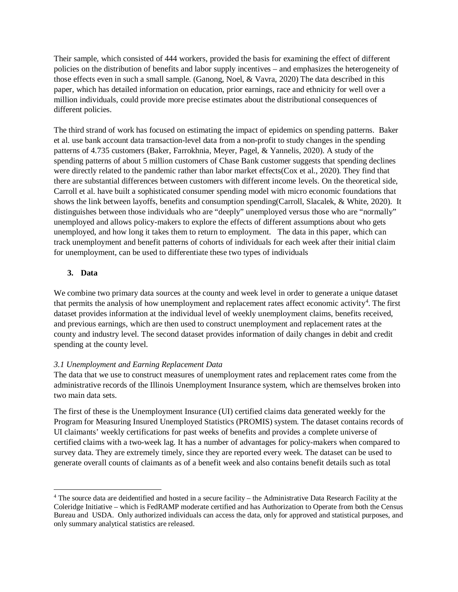Their sample, which consisted of 444 workers, provided the basis for examining the effect of different policies on the distribution of benefits and labor supply incentives – and emphasizes the heterogeneity of those effects even in such a small sample. (Ganong, Noel, & Vavra, 2020) The data described in this paper, which has detailed information on education, prior earnings, race and ethnicity for well over a million individuals, could provide more precise estimates about the distributional consequences of different policies.

The third strand of work has focused on estimating the impact of epidemics on spending patterns. Baker et al. use bank account data transaction-level data from a non-profit to study changes in the spending patterns of 4.735 customers (Baker, Farrokhnia, Meyer, Pagel, & Yannelis, 2020). A study of the spending patterns of about 5 million customers of Chase Bank customer suggests that spending declines were directly related to the pandemic rather than labor market effects(Cox et al., 2020). They find that there are substantial differences between customers with different income levels. On the theoretical side, Carroll et al. have built a sophisticated consumer spending model with micro economic foundations that shows the link between layoffs, benefits and consumption spending(Carroll, Slacalek, & White, 2020). It distinguishes between those individuals who are "deeply" unemployed versus those who are "normally" unemployed and allows policy-makers to explore the effects of different assumptions about who gets unemployed, and how long it takes them to return to employment. The data in this paper, which can track unemployment and benefit patterns of cohorts of individuals for each week after their initial claim for unemployment, can be used to differentiate these two types of individuals

## **3. Data**

 $\overline{\phantom{a}}$ 

We combine two primary data sources at the county and week level in order to generate a unique dataset that permits the analysis of how unemployment and replacement rates affect economic activity<sup>[4](#page-4-0)</sup>. The first dataset provides information at the individual level of weekly unemployment claims, benefits received, and previous earnings, which are then used to construct unemployment and replacement rates at the county and industry level. The second dataset provides information of daily changes in debit and credit spending at the county level.

### *3.1 Unemployment and Earning Replacement Data*

The data that we use to construct measures of unemployment rates and replacement rates come from the administrative records of the Illinois Unemployment Insurance system, which are themselves broken into two main data sets.

The first of these is the Unemployment Insurance (UI) certified claims data generated weekly for the Program for Measuring Insured Unemployed Statistics (PROMIS) system. The dataset contains records of UI claimants' weekly certifications for past weeks of benefits and provides a complete universe of certified claims with a two-week lag. It has a number of advantages for policy-makers when compared to survey data. They are extremely timely, since they are reported every week. The dataset can be used to generate overall counts of claimants as of a benefit week and also contains benefit details such as total

<span id="page-4-0"></span><sup>4</sup> The source data are deidentified and hosted in a secure facility – the Administrative Data Research Facility at the Coleridge Initiative – which is FedRAMP moderate certified and has Authorization to Operate from both the Census Bureau and USDA. Only authorized individuals can access the data, only for approved and statistical purposes, and only summary analytical statistics are released.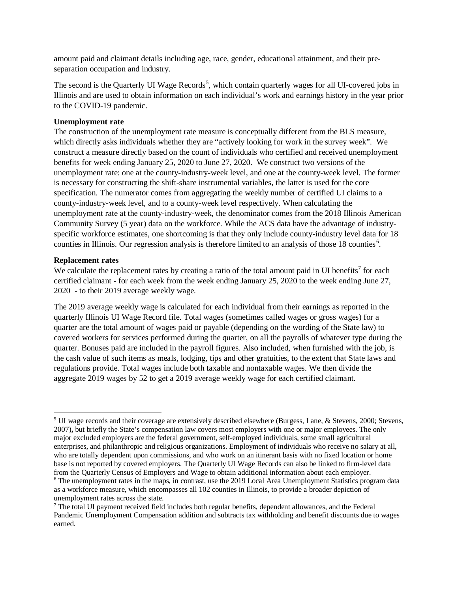amount paid and claimant details including age, race, gender, educational attainment, and their preseparation occupation and industry.

The second is the Quarterly UI Wage Records<sup>[5](#page-5-0)</sup>, which contain quarterly wages for all UI-covered jobs in Illinois and are used to obtain information on each individual's work and earnings history in the year prior to the COVID-19 pandemic.

### **Unemployment rate**

The construction of the unemployment rate measure is conceptually different from the BLS measure, which directly asks individuals whether they are "actively looking for work in the survey week". We construct a measure directly based on the count of individuals who certified and received unemployment benefits for week ending January 25, 2020 to June 27, 2020. We construct two versions of the unemployment rate: one at the county-industry-week level, and one at the county-week level. The former is necessary for constructing the shift-share instrumental variables, the latter is used for the core specification. The numerator comes from aggregating the weekly number of certified UI claims to a county-industry-week level, and to a county-week level respectively. When calculating the unemployment rate at the county-industry-week, the denominator comes from the 2018 Illinois American Community Survey (5 year) data on the workforce. While the ACS data have the advantage of industryspecific workforce estimates, one shortcoming is that they only include county-industry level data for 18 counties in Illinois. Our regression analysis is therefore limited to an analysis of those 18 counties<sup>[6](#page-5-1)</sup>.

### **Replacement rates**

 $\overline{\phantom{a}}$ 

We calculate the replacement rates by creating a ratio of the total amount paid in UI benefits<sup>[7](#page-5-2)</sup> for each certified claimant - for each week from the week ending January 25, 2020 to the week ending June 27, 2020 - to their 2019 average weekly wage.

The 2019 average weekly wage is calculated for each individual from their earnings as reported in the quarterly Illinois UI Wage Record file. Total wages (sometimes called wages or gross wages) for a quarter are the total amount of wages paid or payable (depending on the wording of the State law) to covered workers for services performed during the quarter, on all the payrolls of whatever type during the quarter. Bonuses paid are included in the payroll figures. Also included, when furnished with the job, is the cash value of such items as meals, lodging, tips and other gratuities, to the extent that State laws and regulations provide. Total wages include both taxable and nontaxable wages. We then divide the aggregate 2019 wages by 52 to get a 2019 average weekly wage for each certified claimant.

<span id="page-5-0"></span> $5$  UI wage records and their coverage are extensively described elsewhere (Burgess, Lane, & Stevens, 2000; Stevens, 2007)**,** but briefly the State's compensation law covers most employers with one or major employees. The only major excluded employers are the federal government, self-employed individuals, some small agricultural enterprises, and philanthropic and religious organizations. Employment of individuals who receive no salary at all, who are totally dependent upon commissions, and who work on an itinerant basis with no fixed location or home base is not reported by covered employers. The Quarterly UI Wage Records can also be linked to firm-level data from the Quarterly Census of Employers and Wage to obtain additional information about each employer.

<span id="page-5-1"></span><sup>&</sup>lt;sup>6</sup> The unemployment rates in the maps, in contrast, use the 2019 Local Area Unemployment Statistics program data as a workforce measure, which encompasses all 102 counties in Illinois, to provide a broader depiction of unemployment rates across the state.

<span id="page-5-2"></span><sup>7</sup> The total UI payment received field includes both regular benefits, dependent allowances, and the Federal Pandemic Unemployment Compensation addition and subtracts tax withholding and benefit discounts due to wages earned.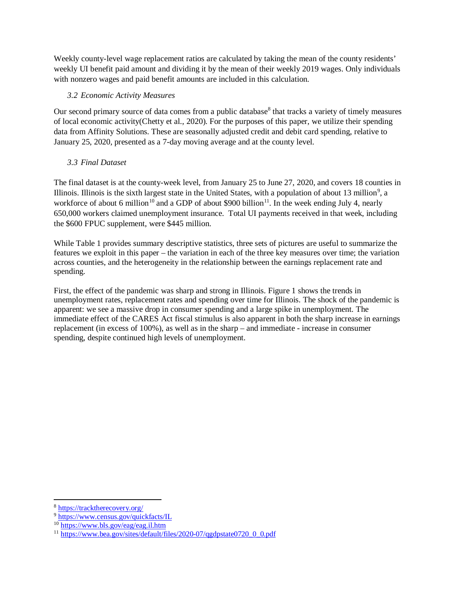Weekly county-level wage replacement ratios are calculated by taking the mean of the county residents' weekly UI benefit paid amount and dividing it by the mean of their weekly 2019 wages. Only individuals with nonzero wages and paid benefit amounts are included in this calculation.

# *3.2 Economic Activity Measures*

Our second primary source of data comes from a public database<sup>[8](#page-6-0)</sup> that tracks a variety of timely measures of local economic activity(Chetty et al., 2020). For the purposes of this paper, we utilize their spending data from Affinity Solutions. These are seasonally adjusted credit and debit card spending, relative to January 25, 2020, presented as a 7-day moving average and at the county level.

# *3.3 Final Dataset*

The final dataset is at the county-week level, from January 25 to June 27, 2020, and covers 18 counties in Illinois. Illinois is the sixth largest state in the United States, with a population of about 13 million<sup>[9](#page-6-1)</sup>, a workforce of about 6 million<sup>[10](#page-6-2)</sup> and a GDP of about \$900 billion<sup>[11](#page-6-3)</sup>. In the week ending July 4, nearly 650,000 workers claimed unemployment insurance. Total UI payments received in that week, including the \$600 FPUC supplement, were \$445 million.

While Table 1 provides summary descriptive statistics, three sets of pictures are useful to summarize the features we exploit in this paper – the variation in each of the three key measures over time; the variation across counties, and the heterogeneity in the relationship between the earnings replacement rate and spending.

First, the effect of the pandemic was sharp and strong in Illinois. Figure 1 shows the trends in unemployment rates, replacement rates and spending over time for Illinois. The shock of the pandemic is apparent: we see a massive drop in consumer spending and a large spike in unemployment. The immediate effect of the CARES Act fiscal stimulus is also apparent in both the sharp increase in earnings replacement (in excess of 100%), as well as in the sharp – and immediate - increase in consumer spending, despite continued high levels of unemployment.

l

<span id="page-6-0"></span><sup>8</sup> <https://tracktherecovery.org/>

<span id="page-6-1"></span><sup>9</sup> <https://www.census.gov/quickfacts/IL>

<span id="page-6-2"></span><sup>10</sup> <https://www.bls.gov/eag/eag.il.htm>

<span id="page-6-3"></span><sup>&</sup>lt;sup>11</sup> [https://www.bea.gov/sites/default/files/2020-07/qgdpstate0720\\_0\\_0.pdf](https://www.bea.gov/sites/default/files/2020-07/qgdpstate0720_0_0.pdf)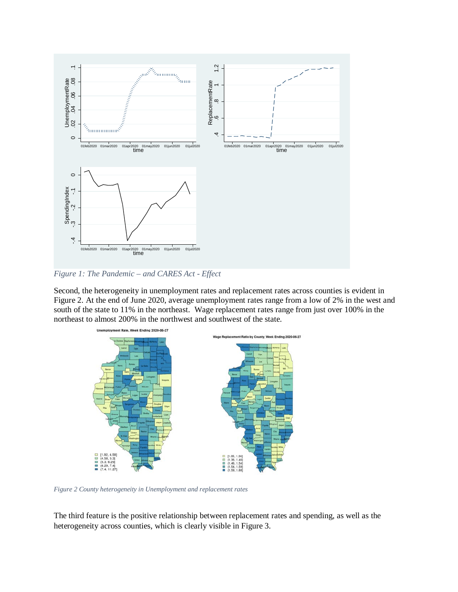

*Figure 1: The Pandemic – and CARES Act - Effect*

Second, the heterogeneity in unemployment rates and replacement rates across counties is evident in Figure 2. At the end of June 2020, average unemployment rates range from a low of 2% in the west and south of the state to 11% in the northeast. Wage replacement rates range from just over 100% in the northeast to almost 200% in the northwest and southwest of the state.



*Figure 2 County heterogeneity in Unemployment and replacement rates*

The third feature is the positive relationship between replacement rates and spending, as well as the heterogeneity across counties, which is clearly visible in Figure 3.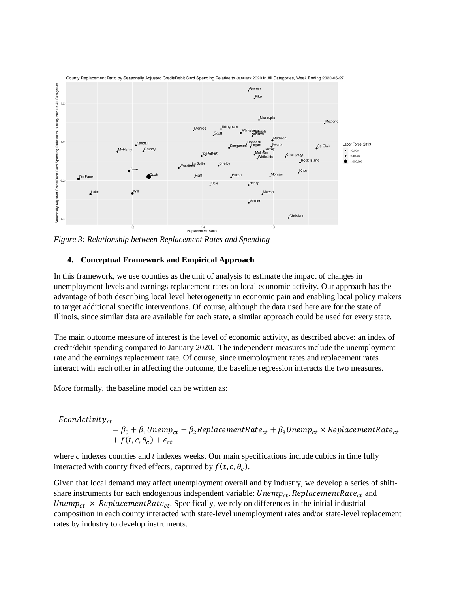

*Figure 3: Relationship between Replacement Rates and Spending*

## **4. Conceptual Framework and Empirical Approach**

In this framework, we use counties as the unit of analysis to estimate the impact of changes in unemployment levels and earnings replacement rates on local economic activity. Our approach has the advantage of both describing local level heterogeneity in economic pain and enabling local policy makers to target additional specific interventions. Of course, although the data used here are for the state of Illinois, since similar data are available for each state, a similar approach could be used for every state.

The main outcome measure of interest is the level of economic activity, as described above: an index of credit/debit spending compared to January 2020. The independent measures include the unemployment rate and the earnings replacement rate. Of course, since unemployment rates and replacement rates interact with each other in affecting the outcome, the baseline regression interacts the two measures.

More formally, the baseline model can be written as:

 $E$ con $Activity_{ct}$  $= \beta_0 + \beta_1$ Unemp<sub>ct</sub> +  $\beta_2$ ReplacementRate<sub>ct</sub> +  $\beta_3$ Unemp<sub>ct</sub> × ReplacementRate<sub>ct</sub> +  $f(t, c, \theta_c)$  +  $\epsilon_{ct}$ 

where *c* indexes counties and *t* indexes weeks. Our main specifications include cubics in time fully interacted with county fixed effects, captured by  $f(t, c, \theta_c)$ .

Given that local demand may affect unemployment overall and by industry, we develop a series of shiftshare instruments for each endogenous independent variable:  $Unemp_{ct}$ ,  $ReplacementRate_{ct}$  and Unemp<sub>ct</sub>  $\times$  ReplacementRate<sub>ct</sub>. Specifically, we rely on differences in the initial industrial composition in each county interacted with state-level unemployment rates and/or state-level replacement rates by industry to develop instruments.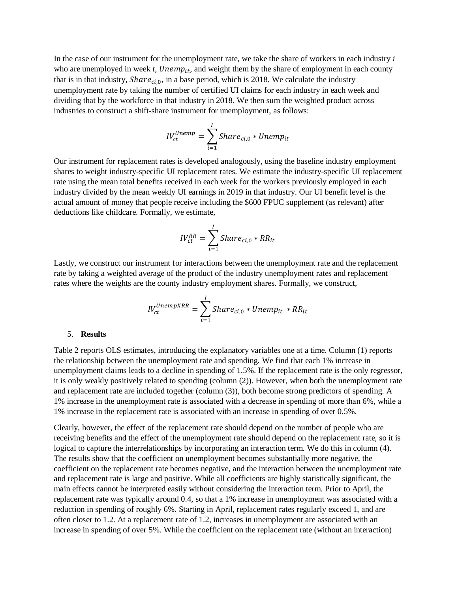In the case of our instrument for the unemployment rate, we take the share of workers in each industry *i* who are unemployed in week  $t$ ,  $Unemp_{it}$ , and weight them by the share of employment in each county that is in that industry,  $Share_{ci,0}$ , in a base period, which is 2018. We calculate the industry unemployment rate by taking the number of certified UI claims for each industry in each week and dividing that by the workforce in that industry in 2018. We then sum the weighted product across industries to construct a shift-share instrument for unemployment, as follows:

$$
IV_{ct}^{Unemp} = \sum_{i=1}^{I}Share_{ci,0} * Unemp_{it}
$$

Our instrument for replacement rates is developed analogously, using the baseline industry employment shares to weight industry-specific UI replacement rates. We estimate the industry-specific UI replacement rate using the mean total benefits received in each week for the workers previously employed in each industry divided by the mean weekly UI earnings in 2019 in that industry. Our UI benefit level is the actual amount of money that people receive including the \$600 FPUC supplement (as relevant) after deductions like childcare. Formally, we estimate,

$$
IV_{ct}^{RR} = \sum_{i=1}^{I}Share_{ci,0} * RR_{it}
$$

Lastly, we construct our instrument for interactions between the unemployment rate and the replacement rate by taking a weighted average of the product of the industry unemployment rates and replacement rates where the weights are the county industry employment shares. Formally, we construct,

$$
IV_{ct}^{UnempXRR} = \sum_{i=1}^{I}Share_{ci,0} * Unemp_{it} * RR_{it}
$$

#### 5. **Results**

Table 2 reports OLS estimates, introducing the explanatory variables one at a time. Column (1) reports the relationship between the unemployment rate and spending. We find that each 1% increase in unemployment claims leads to a decline in spending of 1.5%. If the replacement rate is the only regressor, it is only weakly positively related to spending (column (2)). However, when both the unemployment rate and replacement rate are included together (column (3)), both become strong predictors of spending. A 1% increase in the unemployment rate is associated with a decrease in spending of more than 6%, while a 1% increase in the replacement rate is associated with an increase in spending of over 0.5%.

Clearly, however, the effect of the replacement rate should depend on the number of people who are receiving benefits and the effect of the unemployment rate should depend on the replacement rate, so it is logical to capture the interrelationships by incorporating an interaction term. We do this in column (4). The results show that the coefficient on unemployment becomes substantially more negative, the coefficient on the replacement rate becomes negative, and the interaction between the unemployment rate and replacement rate is large and positive. While all coefficients are highly statistically significant, the main effects cannot be interpreted easily without considering the interaction term. Prior to April, the replacement rate was typically around 0.4, so that a 1% increase in unemployment was associated with a reduction in spending of roughly 6%. Starting in April, replacement rates regularly exceed 1, and are often closer to 1.2. At a replacement rate of 1.2, increases in unemployment are associated with an increase in spending of over 5%. While the coefficient on the replacement rate (without an interaction)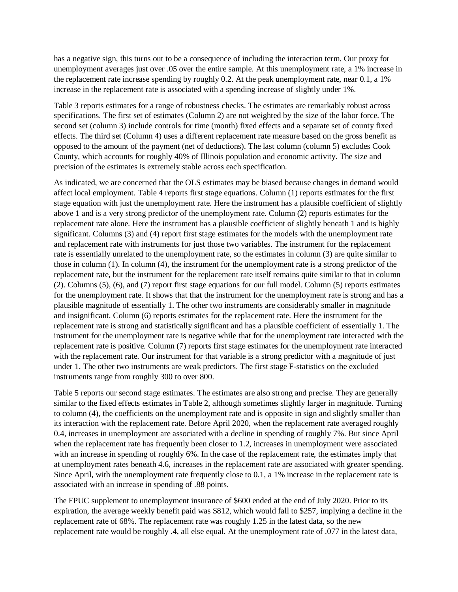has a negative sign, this turns out to be a consequence of including the interaction term. Our proxy for unemployment averages just over .05 over the entire sample. At this unemployment rate, a 1% increase in the replacement rate increase spending by roughly 0.2. At the peak unemployment rate, near 0.1, a 1% increase in the replacement rate is associated with a spending increase of slightly under 1%.

Table 3 reports estimates for a range of robustness checks. The estimates are remarkably robust across specifications. The first set of estimates (Column 2) are not weighted by the size of the labor force. The second set (column 3) include controls for time (month) fixed effects and a separate set of county fixed effects. The third set (Column 4) uses a different replacement rate measure based on the gross benefit as opposed to the amount of the payment (net of deductions). The last column (column 5) excludes Cook County, which accounts for roughly 40% of Illinois population and economic activity. The size and precision of the estimates is extremely stable across each specification.

As indicated, we are concerned that the OLS estimates may be biased because changes in demand would affect local employment. Table 4 reports first stage equations. Column (1) reports estimates for the first stage equation with just the unemployment rate. Here the instrument has a plausible coefficient of slightly above 1 and is a very strong predictor of the unemployment rate. Column (2) reports estimates for the replacement rate alone. Here the instrument has a plausible coefficient of slightly beneath 1 and is highly significant. Columns (3) and (4) report first stage estimates for the models with the unemployment rate and replacement rate with instruments for just those two variables. The instrument for the replacement rate is essentially unrelated to the unemployment rate, so the estimates in column (3) are quite similar to those in column (1). In column (4), the instrument for the unemployment rate is a strong predictor of the replacement rate, but the instrument for the replacement rate itself remains quite similar to that in column (2). Columns (5), (6), and (7) report first stage equations for our full model. Column (5) reports estimates for the unemployment rate. It shows that that the instrument for the unemployment rate is strong and has a plausible magnitude of essentially 1. The other two instruments are considerably smaller in magnitude and insignificant. Column (6) reports estimates for the replacement rate. Here the instrument for the replacement rate is strong and statistically significant and has a plausible coefficient of essentially 1. The instrument for the unemployment rate is negative while that for the unemployment rate interacted with the replacement rate is positive. Column (7) reports first stage estimates for the unemployment rate interacted with the replacement rate. Our instrument for that variable is a strong predictor with a magnitude of just under 1. The other two instruments are weak predictors. The first stage F-statistics on the excluded instruments range from roughly 300 to over 800.

Table 5 reports our second stage estimates. The estimates are also strong and precise. They are generally similar to the fixed effects estimates in Table 2, although sometimes slightly larger in magnitude. Turning to column (4), the coefficients on the unemployment rate and is opposite in sign and slightly smaller than its interaction with the replacement rate. Before April 2020, when the replacement rate averaged roughly 0.4, increases in unemployment are associated with a decline in spending of roughly 7%. But since April when the replacement rate has frequently been closer to 1.2, increases in unemployment were associated with an increase in spending of roughly 6%. In the case of the replacement rate, the estimates imply that at unemployment rates beneath 4.6, increases in the replacement rate are associated with greater spending. Since April, with the unemployment rate frequently close to 0.1, a 1% increase in the replacement rate is associated with an increase in spending of .88 points.

The FPUC supplement to unemployment insurance of \$600 ended at the end of July 2020. Prior to its expiration, the average weekly benefit paid was \$812, which would fall to \$257, implying a decline in the replacement rate of 68%. The replacement rate was roughly 1.25 in the latest data, so the new replacement rate would be roughly .4, all else equal. At the unemployment rate of .077 in the latest data,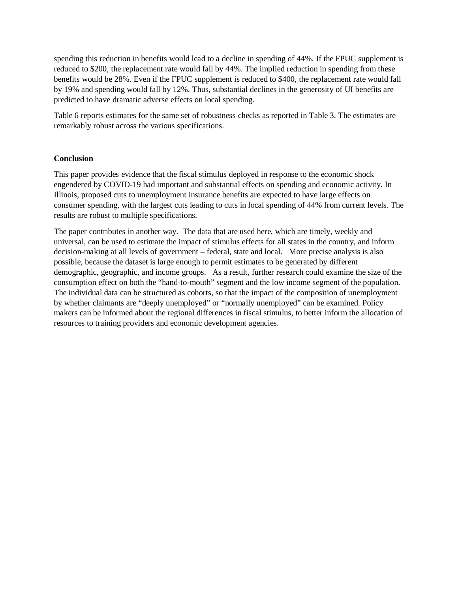spending this reduction in benefits would lead to a decline in spending of 44%. If the FPUC supplement is reduced to \$200, the replacement rate would fall by 44%. The implied reduction in spending from these benefits would be 28%. Even if the FPUC supplement is reduced to \$400, the replacement rate would fall by 19% and spending would fall by 12%. Thus, substantial declines in the generosity of UI benefits are predicted to have dramatic adverse effects on local spending.

Table 6 reports estimates for the same set of robustness checks as reported in Table 3. The estimates are remarkably robust across the various specifications.

## **Conclusion**

This paper provides evidence that the fiscal stimulus deployed in response to the economic shock engendered by COVID-19 had important and substantial effects on spending and economic activity. In Illinois, proposed cuts to unemployment insurance benefits are expected to have large effects on consumer spending, with the largest cuts leading to cuts in local spending of 44% from current levels. The results are robust to multiple specifications.

The paper contributes in another way. The data that are used here, which are timely, weekly and universal, can be used to estimate the impact of stimulus effects for all states in the country, and inform decision-making at all levels of government – federal, state and local. More precise analysis is also possible, because the dataset is large enough to permit estimates to be generated by different demographic, geographic, and income groups. As a result, further research could examine the size of the consumption effect on both the "hand-to-mouth" segment and the low income segment of the population. The individual data can be structured as cohorts, so that the impact of the composition of unemployment by whether claimants are "deeply unemployed" or "normally unemployed" can be examined. Policy makers can be informed about the regional differences in fiscal stimulus, to better inform the allocation of resources to training providers and economic development agencies.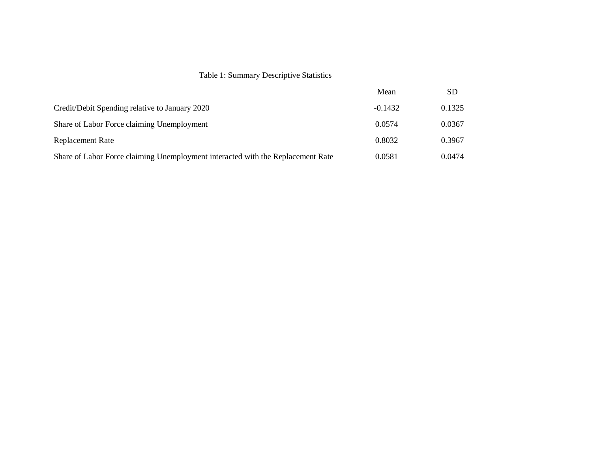|                                                                                 | Mean      | <b>SD</b> |
|---------------------------------------------------------------------------------|-----------|-----------|
| Credit/Debit Spending relative to January 2020                                  | $-0.1432$ | 0.1325    |
| Share of Labor Force claiming Unemployment                                      | 0.0574    | 0.0367    |
| <b>Replacement Rate</b>                                                         | 0.8032    | 0.3967    |
| Share of Labor Force claiming Unemployment interacted with the Replacement Rate | 0.0581    | 0.0474    |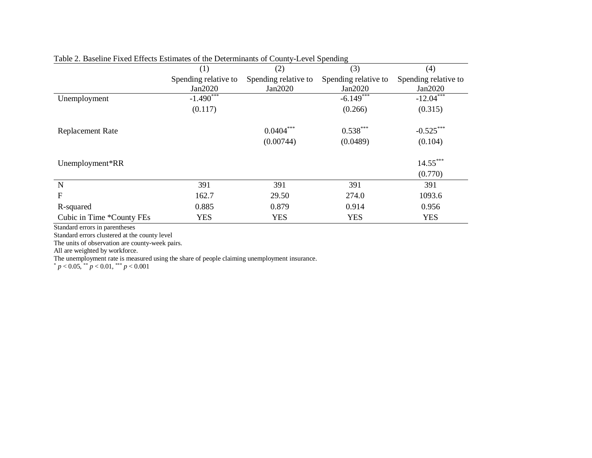|                           |                         |                      | o                    |                      |  |  |
|---------------------------|-------------------------|----------------------|----------------------|----------------------|--|--|
|                           | (1)                     | (2)                  | (3)                  | (4)                  |  |  |
|                           | Spending relative to    | Spending relative to | Spending relative to | Spending relative to |  |  |
|                           | Jan2020                 | Jan2020              | Jan2020              | Jan2020              |  |  |
| Unemployment              | $-1.490$ <sup>***</sup> |                      | $-6.149$             | $-12.04$             |  |  |
|                           | (0.117)                 |                      | (0.266)              | (0.315)              |  |  |
| <b>Replacement Rate</b>   |                         | $0.0404***$          | $0.538***$           | $-0.525***$          |  |  |
|                           |                         | (0.00744)            | (0.0489)             | (0.104)              |  |  |
| Unemployment*RR           |                         |                      |                      | $14.55***$           |  |  |
|                           |                         |                      |                      | (0.770)              |  |  |
| $\mathbf N$               | 391                     | 391                  | 391                  | 391                  |  |  |
| F                         | 162.7                   | 29.50                | 274.0                | 1093.6               |  |  |
| R-squared                 | 0.885                   | 0.879                | 0.914                | 0.956                |  |  |
| Cubic in Time *County FEs | <b>YES</b>              | <b>YES</b>           | <b>YES</b>           | <b>YES</b>           |  |  |

Table 2. Baseline Fixed Effects Estimates of the Determinants of County-Level Spending

Standard errors in parentheses

Standard errors clustered at the county level

The units of observation are county-week pairs.

All are weighted by workforce.

The unemployment rate is measured using the share of people claiming unemployment insurance.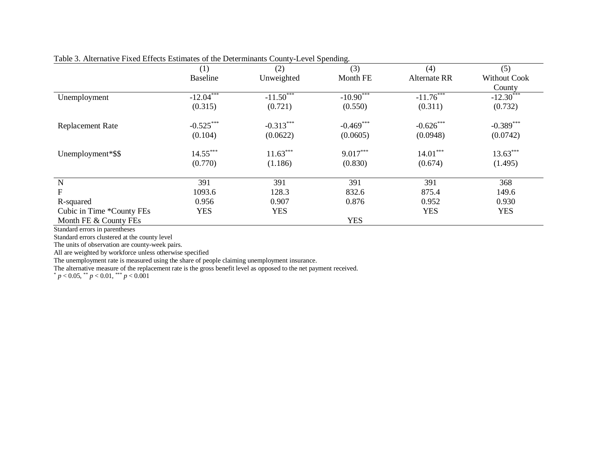|                           | (1)             | (2)         | (3)         | (4)                 | (5)                     |
|---------------------------|-----------------|-------------|-------------|---------------------|-------------------------|
|                           | <b>Baseline</b> | Unweighted  | Month FE    | <b>Alternate RR</b> | <b>Without Cook</b>     |
|                           |                 |             |             |                     | County                  |
| Unemployment              | $-12.04***$     | $-11.50***$ | $-10.90***$ | $-11.76***$         | $-12.\overline{30}$ *** |
|                           | (0.315)         | (0.721)     | (0.550)     | (0.311)             | (0.732)                 |
| <b>Replacement Rate</b>   | $-0.525***$     | $-0.313***$ | $-0.469***$ | $-0.626$ ***        | $-0.389$ ***            |
|                           | (0.104)         | (0.0622)    | (0.0605)    | (0.0948)            | (0.0742)                |
| Unemployment*\$\$         | $14.55***$      | $11.63***$  | $9.017***$  | $14.01***$          | $13.63***$              |
|                           | (0.770)         | (1.186)     | (0.830)     | (0.674)             | (1.495)                 |
| N                         | 391             | 391         | 391         | 391                 | 368                     |
| ${\bf F}$                 | 1093.6          | 128.3       | 832.6       | 875.4               | 149.6                   |
| R-squared                 | 0.956           | 0.907       | 0.876       | 0.952               | 0.930                   |
| Cubic in Time *County FEs | <b>YES</b>      | <b>YES</b>  |             | <b>YES</b>          | <b>YES</b>              |
| Month FE & County FEs     |                 |             | <b>YES</b>  |                     |                         |

Table 3. Alternative Fixed Effects Estimates of the Determinants County-Level Spending.

Standard errors in parentheses

Standard errors clustered at the county level

The units of observation are county-week pairs.

All are weighted by workforce unless otherwise specified

The unemployment rate is measured using the share of people claiming unemployment insurance.

The alternative measure of the replacement rate is the gross benefit level as opposed to the net payment received.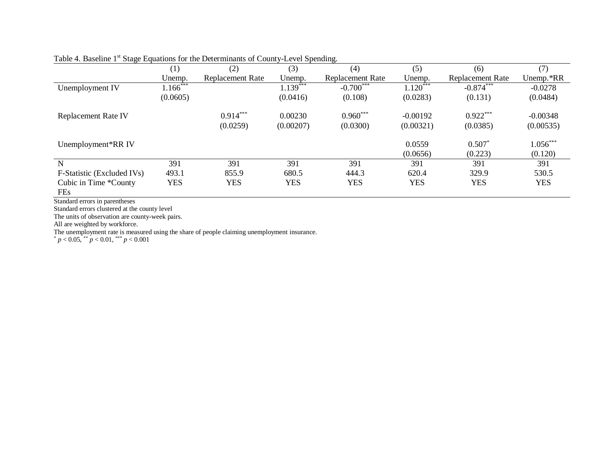|                            | (1)        | (2)              | (3)        | (4)              | (5)        | (6)              | (7)        |
|----------------------------|------------|------------------|------------|------------------|------------|------------------|------------|
|                            | Unemp.     | Replacement Rate | Unemp.     | Replacement Rate | Unemp.     | Replacement Rate | Unemp.*RR  |
| Unemployment IV            | $1.166***$ |                  | $1.139***$ | $-0.700***$      | $1.120***$ | $-0.874***$      | $-0.0278$  |
|                            | (0.0605)   |                  | (0.0416)   | (0.108)          | (0.0283)   | (0.131)          | (0.0484)   |
| <b>Replacement Rate IV</b> |            | $0.914***$       | 0.00230    | $0.960***$       | $-0.00192$ | $0.922***$       | $-0.00348$ |
|                            |            | (0.0259)         | (0.00207)  | (0.0300)         | (0.00321)  | (0.0385)         | (0.00535)  |
| Unemployment*RR IV         |            |                  |            |                  | 0.0559     | $0.507*$         | $1.056***$ |
|                            |            |                  |            |                  | (0.0656)   | (0.223)          | (0.120)    |
| N                          | 391        | 391              | 391        | 391              | 391        | 391              | 391        |
| F-Statistic (Excluded IVs) | 493.1      | 855.9            | 680.5      | 444.3            | 620.4      | 329.9            | 530.5      |
| Cubic in Time *County      | <b>YES</b> | <b>YES</b>       | <b>YES</b> | <b>YES</b>       | <b>YES</b> | YES              | <b>YES</b> |
| FE <sub>s</sub>            |            |                  |            |                  |            |                  |            |

# Table 4. Baseline 1<sup>st</sup> Stage Equations for the Determinants of County-Level Spending.

Standard errors in parentheses

Standard errors clustered at the county level

The units of observation are county-week pairs.

All are weighted by workforce.

The unemployment rate is measured using the share of people claiming unemployment insurance.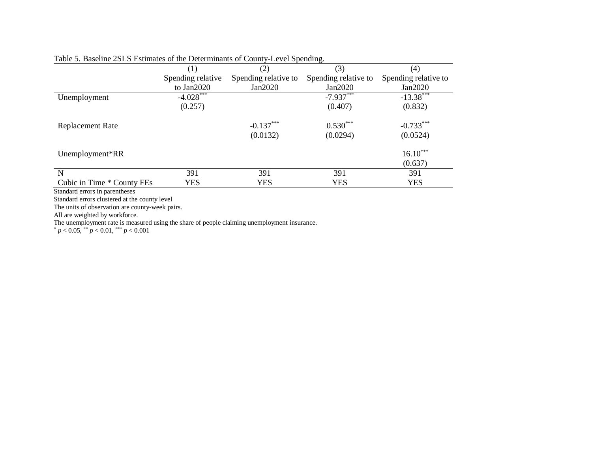|                            | (1)               | (2)                  | (3)                  | (4)                  |
|----------------------------|-------------------|----------------------|----------------------|----------------------|
|                            | Spending relative | Spending relative to | Spending relative to | Spending relative to |
|                            | to Jan2020        | Jan2020              | Jan2020              | Jan2020              |
| Unemployment               | $-4.028***$       |                      | $-7.937***$          | $-13.38***$          |
|                            | (0.257)           |                      | (0.407)              | (0.832)              |
| Replacement Rate           |                   | $-0.137***$          | $0.530***$           | $-0.733***$          |
|                            |                   | (0.0132)             | (0.0294)             | (0.0524)             |
| Unemployment*RR            |                   |                      |                      | $16.10***$           |
|                            |                   |                      |                      | (0.637)              |
| N                          | 391               | 391                  | 391                  | 391                  |
| Cubic in Time * County FEs | <b>YES</b>        | <b>YES</b>           | <b>YES</b>           | <b>YES</b>           |

# Table 5. Baseline 2SLS Estimates of the Determinants of County-Level Spending.

Standard errors in parentheses

Standard errors clustered at the county level

The units of observation are county-week pairs.

All are weighted by workforce.

The unemployment rate is measured using the share of people claiming unemployment insurance.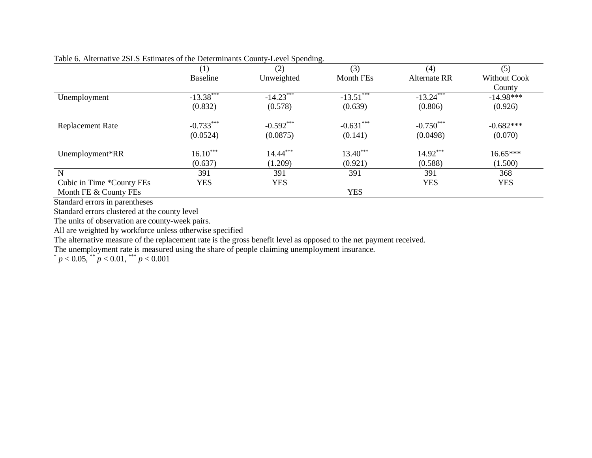|                           | (1)             | (2)         | (3)              | (4)          | (5)                 |
|---------------------------|-----------------|-------------|------------------|--------------|---------------------|
|                           | <b>Baseline</b> | Unweighted  | <b>Month FEs</b> | Alternate RR | <b>Without Cook</b> |
|                           |                 |             |                  |              | County              |
| Unemployment              | $-13.38***$     | $-14.23***$ | $-13.51***$      | $-13.24***$  | $-14.98***$         |
|                           | (0.832)         | (0.578)     | (0.639)          | (0.806)      | (0.926)             |
| Replacement Rate          | $-0.733***$     | $-0.592***$ | $-0.631***$      | $-0.750***$  | $-0.682***$         |
|                           | (0.0524)        | (0.0875)    | (0.141)          | (0.0498)     | (0.070)             |
| Unemployment*RR           | $16.10***$      | 14.44***    | $13.40***$       | 14.92***     | 16.65***            |
|                           | (0.637)         | (1.209)     | (0.921)          | (0.588)      | (1.500)             |
| ${\bf N}$                 | 391             | 391         | 391              | 391          | 368                 |
| Cubic in Time *County FEs | YES             | <b>YES</b>  |                  | <b>YES</b>   | <b>YES</b>          |
| Month FE & County FEs     |                 |             | <b>YES</b>       |              |                     |

Table 6. Alternative 2SLS Estimates of the Determinants County-Level Spending.

Standard errors in parentheses

Standard errors clustered at the county level

The units of observation are county-week pairs.

All are weighted by workforce unless otherwise specified

The alternative measure of the replacement rate is the gross benefit level as opposed to the net payment received.

The unemployment rate is measured using the share of people claiming unemployment insurance.

 $p < 0.05$ ,  $p < 0.01$ ,  $p < 0.001$